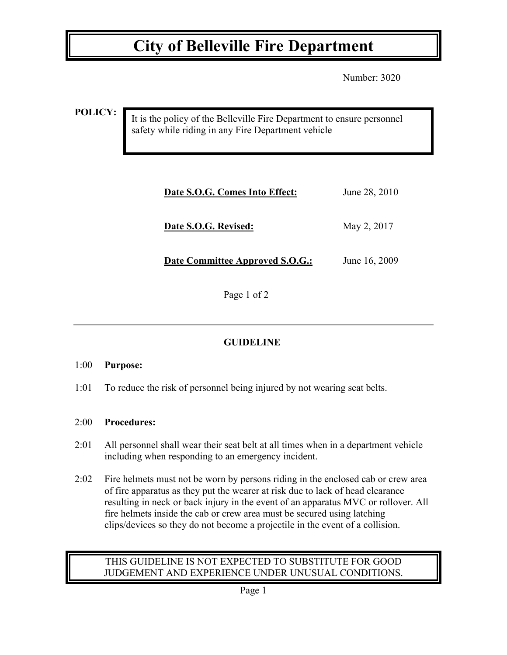## **City of Belleville Fire Department**

Number: 3020

**POLICY:**

It is the policy of the Belleville Fire Department to ensure personnel safety while riding in any Fire Department vehicle

| Date S.O.G. Comes Into Effect:         | June 28, 2010 |
|----------------------------------------|---------------|
| Date S.O.G. Revised:                   | May 2, 2017   |
| <b>Date Committee Approved S.O.G.:</b> | June 16, 2009 |

Page 1 of 2

### **GUIDELINE**

#### 1:00 **Purpose:**

1:01 To reduce the risk of personnel being injured by not wearing seat belts.

#### 2:00 **Procedures:**

- 2:01 All personnel shall wear their seat belt at all times when in a department vehicle including when responding to an emergency incident.
- 2:02 Fire helmets must not be worn by persons riding in the enclosed cab or crew area of fire apparatus as they put the wearer at risk due to lack of head clearance resulting in neck or back injury in the event of an apparatus MVC or rollover. All fire helmets inside the cab or crew area must be secured using latching clips/devices so they do not become a projectile in the event of a collision.

#### THIS GUIDELINE IS NOT EXPECTED TO SUBSTITUTE FOR GOOD JUDGEMENT AND EXPERIENCE UNDER UNUSUAL CONDITIONS.